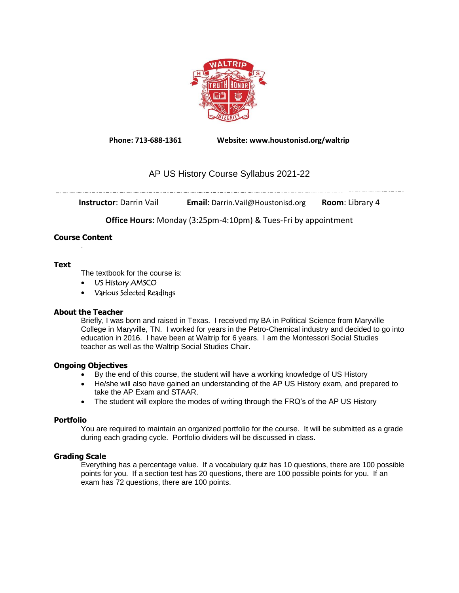

**Phone: 713-688-1361 Website: www.houstonisd.org/waltrip**

# AP US History Course Syllabus 2021-22

**Instructor**: Darrin Vail **Email**: Darrin.Vail@Houstonisd.org **Room**: Library 4

**Office Hours:** Monday (3:25pm-4:10pm) & Tues-Fri by appointment

#### **Course Content** .

### **Text**

The textbook for the course is:

. \_\_ . . \_\_ . . \_\_ . . \_ . . \_ . . \_ . . \_ . . \_ . . \_ . .

- US History AMSCO
- Various Selected Readings

# **About the Teacher**

Briefly, I was born and raised in Texas. I received my BA in Political Science from Maryville College in Maryville, TN. I worked for years in the Petro-Chemical industry and decided to go into education in 2016. I have been at Waltrip for 6 years. I am the Montessori Social Studies teacher as well as the Waltrip Social Studies Chair.

# **Ongoing Objectives**

- By the end of this course, the student will have a working knowledge of US History
- He/she will also have gained an understanding of the AP US History exam, and prepared to take the AP Exam and STAAR.
- The student will explore the modes of writing through the FRQ's of the AP US History

# **Portfolio**

You are required to maintain an organized portfolio for the course. It will be submitted as a grade during each grading cycle. Portfolio dividers will be discussed in class.

# **Grading Scale**

Everything has a percentage value. If a vocabulary quiz has 10 questions, there are 100 possible points for you. If a section test has 20 questions, there are 100 possible points for you. If an exam has 72 questions, there are 100 points.